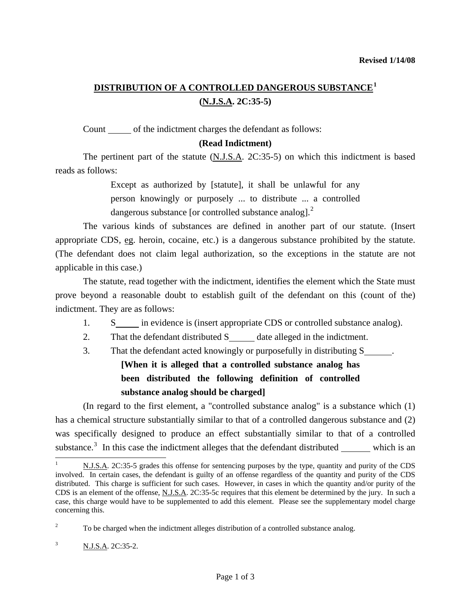## **DISTRIBUTION OF A CONTROLLED DANGEROUS SUBSTANCE[1](#page-0-0) (N.J.S.A. 2C:35-5)**

Count of the indictment charges the defendant as follows:

### **(Read Indictment)**

 The pertinent part of the statute (N.J.S.A. 2C:35-5) on which this indictment is based reads as follows:

> Except as authorized by [statute], it shall be unlawful for any person knowingly or purposely ... to distribute ... a controlled dangerous substance [or controlled substance analog].<sup>[2](#page-0-1)</sup>

 The various kinds of substances are defined in another part of our statute. (Insert appropriate CDS, eg. heroin, cocaine, etc.) is a dangerous substance prohibited by the statute. (The defendant does not claim legal authorization, so the exceptions in the statute are not applicable in this case.)

 The statute, read together with the indictment, identifies the element which the State must prove beyond a reasonable doubt to establish guilt of the defendant on this (count of the) indictment. They are as follows:

- 1. S<sub>\_\_\_\_</sub> in evidence is (insert appropriate CDS or controlled substance analog).
- 2. That the defendant distributed  $S$  date alleged in the indictment.
- 3. That the defendant acted knowingly or purposefully in distributing S .

# **[When it is alleged that a controlled substance analog has been distributed the following definition of controlled substance analog should be charged]**

 (In regard to the first element, a "controlled substance analog" is a substance which (1) has a chemical structure substantially similar to that of a controlled dangerous substance and (2) was specifically designed to produce an effect substantially similar to that of a controlled substance.<sup>[3](#page-0-2)</sup> In this case the indictment alleges that the defendant distributed  $\_\_\_\_\$ which is an

<span id="page-0-3"></span><span id="page-0-0"></span><sup>1</sup> N.J.S.A. 2C:35-5 grades this offense for sentencing purposes by the type, quantity and purity of the CDS involved. In certain cases, the defendant is guilty of an offense regardless of the quantity and purity of the CDS distributed. This charge is sufficient for such cases. However, in cases in which the quantity and/or purity of the CDS is an element of the offense, N.J.S.A. 2C:35-5c requires that this element be determined by the jury. In such a case, this charge would have to be supplemented to add this element. Please see the supplementary model charge concerning this.

<span id="page-0-1"></span><sup>2</sup> To be charged when the indictment alleges distribution of a controlled substance analog.

<span id="page-0-2"></span><sup>&</sup>lt;sup>3</sup> N.J.S.A. 2C:35-2.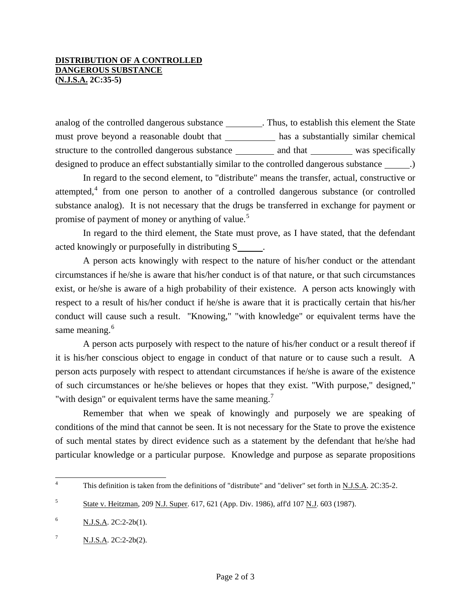### **DISTRIBUTION OF A CONTROLLED DANGEROUS SUBSTANCE (N.J.S.A. 2C:35-5)**

analog of the controlled dangerous substance \_\_\_\_\_\_\_\_. Thus, to establish this element the State must prove beyond a reasonable doubt that has a substantially similar chemical structure to the controlled dangerous substance \_\_\_\_\_\_\_\_\_ and that \_\_\_\_\_\_\_\_\_ was specifically designed to produce an effect substantially similar to the controlled dangerous substance \_\_\_\_\_\_.)

 In regard to the second element, to "distribute" means the transfer, actual, constructive or attempted, $4$  from one person to another of a controlled dangerous substance (or controlled substance analog). It is not necessary that the drugs be transferred in exchange for payment or promise of payment of money or anything of value.<sup>[5](#page-1-0)</sup>

 In regard to the third element, the State must prove, as I have stated, that the defendant acted knowingly or purposefully in distributing S .

 A person acts knowingly with respect to the nature of his/her conduct or the attendant circumstances if he/she is aware that his/her conduct is of that nature, or that such circumstances exist, or he/she is aware of a high probability of their existence. A person acts knowingly with respect to a result of his/her conduct if he/she is aware that it is practically certain that his/her conduct will cause such a result. "Knowing," "with knowledge" or equivalent terms have the same meaning.<sup>[6](#page-1-1)</sup>

 A person acts purposely with respect to the nature of his/her conduct or a result thereof if it is his/her conscious object to engage in conduct of that nature or to cause such a result. A person acts purposely with respect to attendant circumstances if he/she is aware of the existence of such circumstances or he/she believes or hopes that they exist. "With purpose," designed," "with design" or equivalent terms have the same meaning.<sup>[7](#page-1-2)</sup>

 Remember that when we speak of knowingly and purposely we are speaking of conditions of the mind that cannot be seen. It is not necessary for the State to prove the existence of such mental states by direct evidence such as a statement by the defendant that he/she had particular knowledge or a particular purpose. Knowledge and purpose as separate propositions

 $\frac{1}{4}$ This definition is taken from the definitions of "distribute" and "deliver" set forth in N.J.S.A. 2C:35-2.

<span id="page-1-0"></span><sup>&</sup>lt;sup>5</sup> State v. Heitzman, 209 N.J. Super. 617, 621 (App. Div. 1986), aff'd 107 N.J. 603 (1987).

<span id="page-1-1"></span> $N.J.S.A. 2C:2-2b(1).$ 

<span id="page-1-2"></span> $N.J.S.A. 2C:2-2b(2).$